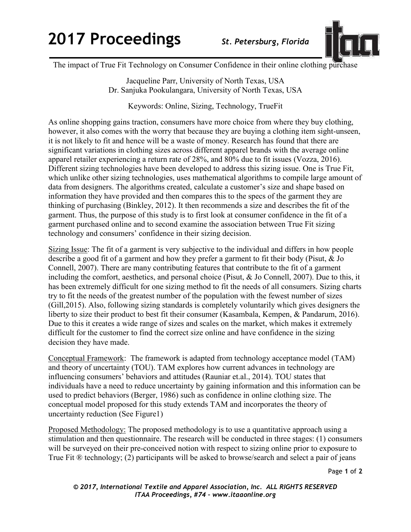## **2017 Proceedings** *St. Petersburg, Florida*



The impact of True Fit Technology on Consumer Confidence in their online clothing purchase

Jacqueline Parr, University of North Texas, USA Dr. Sanjuka Pookulangara, University of North Texas, USA

Keywords: Online, Sizing, Technology, TrueFit

As online shopping gains traction, consumers have more choice from where they buy clothing, however, it also comes with the worry that because they are buying a clothing item sight-unseen, it is not likely to fit and hence will be a waste of money. Research has found that there are significant variations in clothing sizes across different apparel brands with the average online apparel retailer experiencing a return rate of 28%, and 80% due to fit issues (Vozza, 2016). Different sizing technologies have been developed to address this sizing issue. One is True Fit, which unlike other sizing technologies, uses mathematical algorithms to compile large amount of data from designers. The algorithms created, calculate a customer's size and shape based on information they have provided and then compares this to the specs of the garment they are thinking of purchasing (Binkley, 2012). It then recommends a size and describes the fit of the garment. Thus, the purpose of this study is to first look at consumer confidence in the fit of a garment purchased online and to second examine the association between True Fit sizing technology and consumers' confidence in their sizing decision.

Sizing Issue: The fit of a garment is very subjective to the individual and differs in how people describe a good fit of a garment and how they prefer a garment to fit their body (Pisut, & Jo Connell, 2007). There are many contributing features that contribute to the fit of a garment including the comfort, aesthetics, and personal choice (Pisut, & Jo Connell, 2007). Due to this, it has been extremely difficult for one sizing method to fit the needs of all consumers. Sizing charts try to fit the needs of the greatest number of the population with the fewest number of sizes (Gill,2015). Also, following sizing standards is completely voluntarily which gives designers the liberty to size their product to best fit their consumer (Kasambala, Kempen, & Pandarum, 2016). Due to this it creates a wide range of sizes and scales on the market, which makes it extremely difficult for the customer to find the correct size online and have confidence in the sizing decision they have made.

Conceptual Framework: The framework is adapted from technology acceptance model (TAM) and theory of uncertainty (TOU). TAM explores how current advances in technology are influencing consumers' behaviors and attitudes (Rauniar et.al., 2014). TOU states that individuals have a need to reduce uncertainty by gaining information and this information can be used to predict behaviors (Berger, 1986) such as confidence in online clothing size. The conceptual model proposed for this study extends TAM and incorporates the theory of uncertainty reduction (See Figure1)

Proposed Methodology: The proposed methodology is to use a quantitative approach using a stimulation and then questionnaire. The research will be conducted in three stages: (1) consumers will be surveyed on their pre-conceived notion with respect to sizing online prior to exposure to True Fit ® technology; (2) participants will be asked to browse/search and select a pair of jeans

Page **1** of **2**

*© 2017, International Textile and Apparel Association, Inc. ALL RIGHTS RESERVED ITAA Proceedings, #74 – www.itaaonline.org*